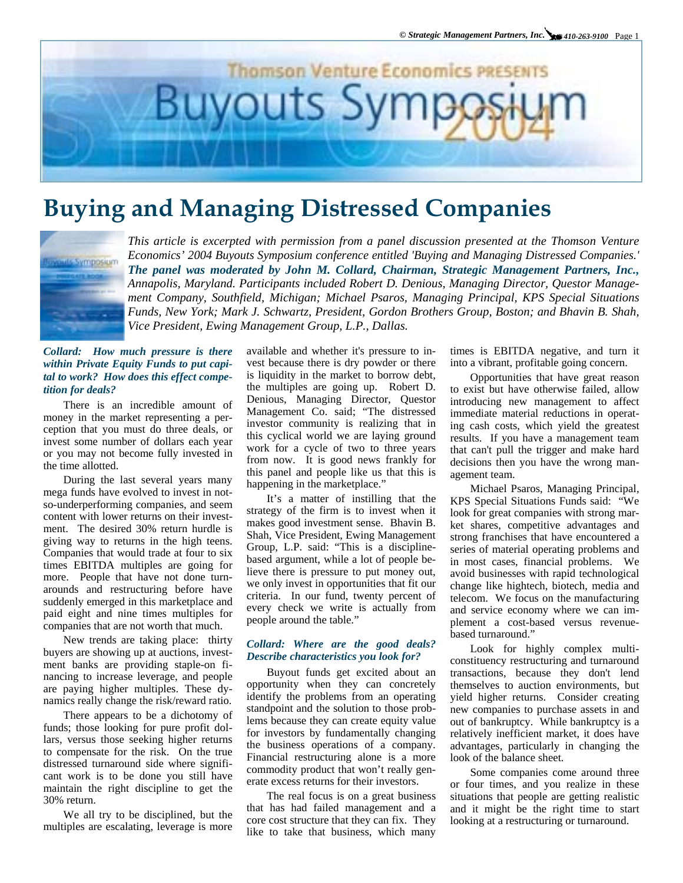

# **Buying and Managing Distressed Companies**



*This article is excerpted with permission from a panel discussion presented at the Thomson Venture Economics' 2004 Buyouts Symposium conference entitled 'Buying and Managing Distressed Companies.' The panel was moderated by John M. Collard, Chairman, Strategic Management Partners, Inc., Annapolis, Maryland. Participants included Robert D. Denious, Managing Director, Questor Management Company, Southfield, Michigan; Michael Psaros, Managing Principal, KPS Special Situations Funds, New York; Mark J. Schwartz, President, Gordon Brothers Group, Boston; and Bhavin B. Shah, Vice President, Ewing Management Group, L.P., Dallas.* 

## *Collard: How much pressure is there within Private Equity Funds to put capital to work? How does this effect competition for deals?*

There is an incredible amount of money in the market representing a perception that you must do three deals, or invest some number of dollars each year or you may not become fully invested in the time allotted.

During the last several years many mega funds have evolved to invest in notso-underperforming companies, and seem content with lower returns on their investment. The desired 30% return hurdle is giving way to returns in the high teens. Companies that would trade at four to six times EBITDA multiples are going for more. People that have not done turnarounds and restructuring before have suddenly emerged in this marketplace and paid eight and nine times multiples for companies that are not worth that much.

New trends are taking place: thirty buyers are showing up at auctions, investment banks are providing staple-on financing to increase leverage, and people are paying higher multiples. These dynamics really change the risk/reward ratio.

There appears to be a dichotomy of funds; those looking for pure profit dollars, versus those seeking higher returns to compensate for the risk. On the true distressed turnaround side where significant work is to be done you still have maintain the right discipline to get the 30% return.

We all try to be disciplined, but the multiples are escalating, leverage is more available and whether it's pressure to invest because there is dry powder or there is liquidity in the market to borrow debt, the multiples are going up. Robert D. Denious, Managing Director, Questor Management Co. said; "The distressed investor community is realizing that in this cyclical world we are laying ground work for a cycle of two to three years from now. It is good news frankly for this panel and people like us that this is happening in the marketplace."

Shah, Vice President, Ewing Management Group, L.P. said: "This is a discipline-It's a matter of instilling that the strategy of the firm is to invest when it makes good investment sense. Bhavin B. based argument, while a lot of people believe there is pressure to put money out, we only invest in opportunities that fit our criteria. In our fund, twenty percent of every check we write is actually from people around the table."

## *Collard: Where are the good deals? Describe characteristics you look for?*

Buyout funds get excited about an opportunity when they can concretely identify the problems from an operating standpoint and the solution to those problems because they can create equity value for investors by fundamentally changing the business operations of a company. Financial restructuring alone is a more commodity product that won't really generate excess returns for their investors.

The real focus is on a great business that has had failed management and a core cost structure that they can fix. They like to take that business, which many

times is EBITDA negative, and turn it into a vibrant, profitable going concern.

Opportunities that have great reason to exist but have otherwise failed, allow introducing new management to affect immediate material reductions in operating cash costs, which yield the greatest results. If you have a management team that can't pull the trigger and make hard decisions then you have the wrong management team.

Michael Psaros, Managing Principal, KPS Special Situations Funds said: "We look for great companies with strong market shares, competitive advantages and strong franchises that have encountered a series of material operating problems and in most cases, financial problems. We avoid businesses with rapid technological change like hightech, biotech, media and telecom. We focus on the manufacturing and service economy where we can implement a cost-based versus revenuebased turnaround."

Look for highly complex multiconstituency restructuring and turnaround transactions, because they don't lend themselves to auction environments, but yield higher returns. Consider creating new companies to purchase assets in and out of bankruptcy. While bankruptcy is a relatively inefficient market, it does have advantages, particularly in changing the look of the balance sheet.

Some companies come around three or four times, and you realize in these situations that people are getting realistic and it might be the right time to start looking at a restructuring or turnaround.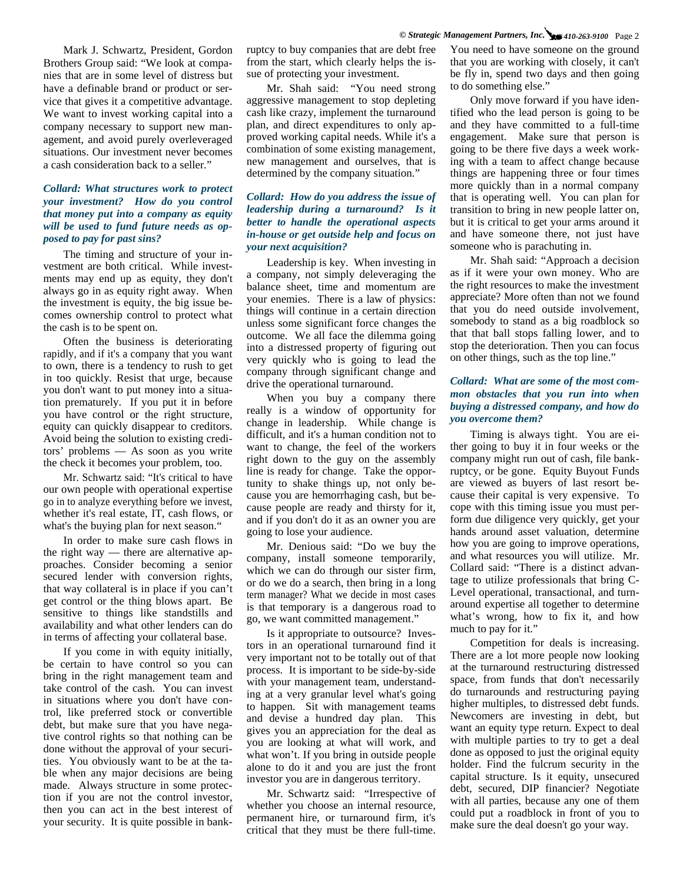Mark J. Schwartz, President, Gordon Brothers Group said: "We look at companies that are in some level of distress but have a definable brand or product or service that gives it a competitive advantage. We want to invest working capital into a company necessary to support new management, and avoid purely overleveraged situations. Our investment never becomes a cash consideration back to a seller."

# *Collard: What structures work to protect your investment? How do you control that money put into a company as equity will be used to fund future needs as opposed to pay for past sins?*

The timing and structure of your investment are both critical. While investments may end up as equity, they don't always go in as equity right away. When the investment is equity, the big issue becomes ownership control to protect what the cash is to be spent on.

Often the business is deteriorating rapidly, and if it's a company that you want to own, there is a tendency to rush to get in too quickly. Resist that urge, because you don't want to put money into a situation prematurely. If you put it in before you have control or the right structure, equity can quickly disappear to creditors. Avoid being the solution to existing creditors' problems — As soon as you write the check it becomes your problem, too.

Mr. Schwartz said: "It's critical to have our own people with operational expertise go in to analyze everything before we invest, whether it's real estate, IT, cash flows, or what's the buying plan for next season."

In order to make sure cash flows in the right way — there are alternative approaches. Consider becoming a senior secured lender with conversion rights, that way collateral is in place if you can't get control or the thing blows apart. Be sensitive to things like standstills and availability and what other lenders can do in terms of affecting your collateral base.

If you come in with equity initially, be certain to have control so you can bring in the right management team and take control of the cash. You can invest in situations where you don't have control, like preferred stock or convertible debt, but make sure that you have negative control rights so that nothing can be done without the approval of your securities. You obviously want to be at the table when any major decisions are being made. Always structure in some protection if you are not the control investor, then you can act in the best interest of your security. It is quite possible in bankruptcy to buy companies that are debt free from the start, which clearly helps the issue of protecting your investment.

Mr. Shah said: "You need strong aggressive management to stop depleting cash like crazy, implement the turnaround plan, and direct expenditures to only approved working capital needs. While it's a combination of some existing management, new management and ourselves, that is determined by the company situation."

# *Collard: How do you address the issue of leadership during a turnaround? Is it better to handle the operational aspects in-house or get outside help and focus on your next acquisition?*

Leadership is key. When investing in a company, not simply deleveraging the balance sheet, time and momentum are your enemies. There is a law of physics: things will continue in a certain direction unless some significant force changes the outcome. We all face the dilemma going into a distressed property of figuring out very quickly who is going to lead the company through significant change and drive the operational turnaround.

When you buy a company there really is a window of opportunity for change in leadership. While change is difficult, and it's a human condition not to want to change, the feel of the workers right down to the guy on the assembly line is ready for change. Take the opportunity to shake things up, not only because you are hemorrhaging cash, but because people are ready and thirsty for it, and if you don't do it as an owner you are going to lose your audience.

Mr. Denious said: "Do we buy the company, install someone temporarily, which we can do through our sister firm, or do we do a search, then bring in a long term manager? What we decide in most cases is that temporary is a dangerous road to go, we want committed management."

Is it appropriate to outsource? Investors in an operational turnaround find it very important not to be totally out of that process. It is important to be side-by-side with your management team, understanding at a very granular level what's going to happen. Sit with management teams and devise a hundred day plan. This gives you an appreciation for the deal as you are looking at what will work, and what won't. If you bring in outside people alone to do it and you are just the front investor you are in dangerous territory.

Mr. Schwartz said: "Irrespective of whether you choose an internal resource, permanent hire, or turnaround firm, it's critical that they must be there full-time.

You need to have someone on the ground that you are working with closely, it can't be fly in, spend two days and then going to do something else."

Only move forward if you have identified who the lead person is going to be and they have committed to a full-time engagement. Make sure that person is going to be there five days a week working with a team to affect change because things are happening three or four times more quickly than in a normal company that is operating well. You can plan for transition to bring in new people latter on, but it is critical to get your arms around it and have someone there, not just have someone who is parachuting in.

Mr. Shah said: "Approach a decision as if it were your own money. Who are the right resources to make the investment appreciate? More often than not we found that you do need outside involvement, somebody to stand as a big roadblock so that that ball stops falling lower, and to stop the deterioration. Then you can focus on other things, such as the top line."

#### *Collard: What are some of the most common obstacles that you run into when buying a distressed company, and how do you overcome them?*

Timing is always tight. You are either going to buy it in four weeks or the company might run out of cash, file bankruptcy, or be gone. Equity Buyout Funds are viewed as buyers of last resort because their capital is very expensive. To cope with this timing issue you must perform due diligence very quickly, get your hands around asset valuation, determine how you are going to improve operations, and what resources you will utilize. Mr. Collard said: "There is a distinct advantage to utilize professionals that bring C-Level operational, transactional, and turnaround expertise all together to determine what's wrong, how to fix it, and how much to pay for it."

Competition for deals is increasing. There are a lot more people now looking at the turnaround restructuring distressed space, from funds that don't necessarily do turnarounds and restructuring paying higher multiples, to distressed debt funds. Newcomers are investing in debt, but want an equity type return. Expect to deal with multiple parties to try to get a deal done as opposed to just the original equity holder. Find the fulcrum security in the capital structure. Is it equity, unsecured debt, secured, DIP financier? Negotiate with all parties, because any one of them could put a roadblock in front of you to make sure the deal doesn't go your way.